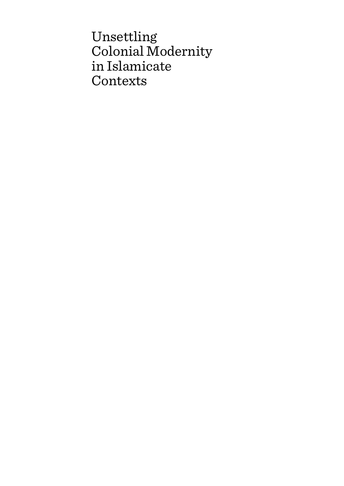Unsettling Colonial Modernity in Islamicate Contexts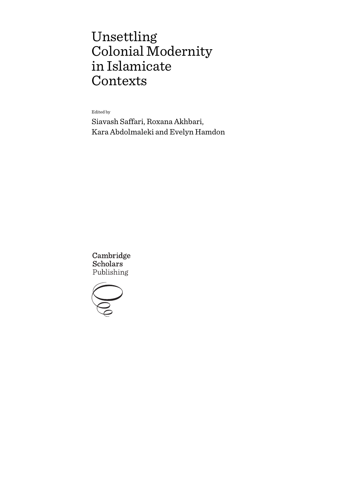# Unsettling Colonial Modernity in Islamicate Contexts

Edited by

Siavash Saffari, Roxana Akhbari, Kara Abdolmaleki and Evelyn Hamdon

Cambridge **Scholars** Publishing

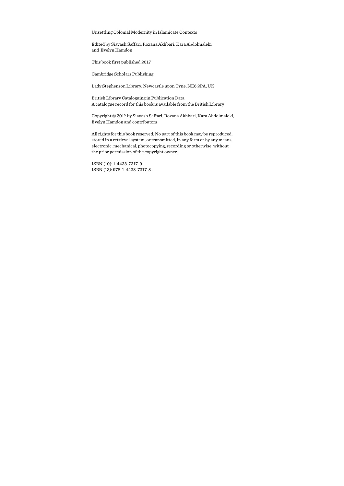Unsettling Colonial Modernity in Islamicate Contexts

Edited by Siavash Saffari, Roxana Akhbari, Kara Abdolmaleki and Evelyn Hamdon

This book first published 2017

Cambridge Scholars Publishing

Lady Stephenson Library, Newcastle upon Tyne, NE6 2PA, UK

British Library Cataloguing in Publication Data A catalogue record for this book is available from the British Library

Copyright © 2017 by Siavash Saffari, Roxana Akhbari, Kara Abdolmaleki, Evelyn Hamdon and contributors

All rights for this book reserved. No part of this book may be reproduced, stored in a retrieval system, or transmitted, in any form or by any means, electronic, mechanical, photocopying, recording or otherwise, without the prior permission of the copyright owner.

ISBN (10): 1-4438-7317-9 ISBN (13): 978-1-4438-7317-8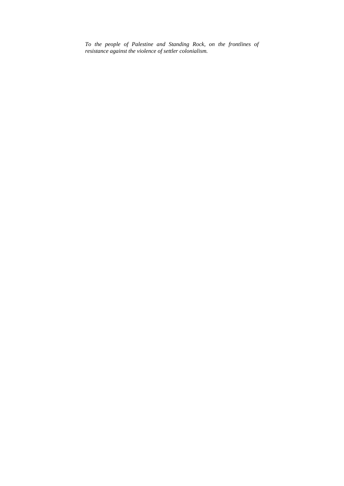*To the people of Palestine and Standing Rock, on the frontlines of resistance against the violence of settler colonialism.*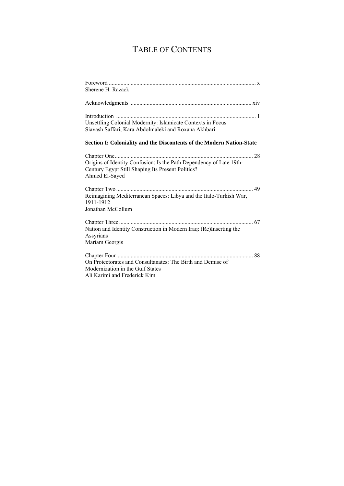# TABLE OF CONTENTS

| Sherene H. Razack                                                                                                                          |
|--------------------------------------------------------------------------------------------------------------------------------------------|
|                                                                                                                                            |
| Unsettling Colonial Modernity: Islamicate Contexts in Focus<br>Siavash Saffari, Kara Abdolmaleki and Roxana Akhbari                        |
| Section I: Coloniality and the Discontents of the Modern Nation-State                                                                      |
| Origins of Identity Confusion: Is the Path Dependency of Late 19th-<br>Century Egypt Still Shaping Its Present Politics?<br>Ahmed El-Sayed |
| Reimagining Mediterranean Spaces: Libya and the Italo-Turkish War,<br>1911-1912<br>Jonathan McCollum                                       |
| Nation and Identity Construction in Modern Iraq: (Re)Inserting the<br>Assyrians<br>Mariam Georgis                                          |
| On Protectorates and Consultanates: The Birth and Demise of<br>Modernization in the Gulf States<br>Ali Karimi and Frederick Kim            |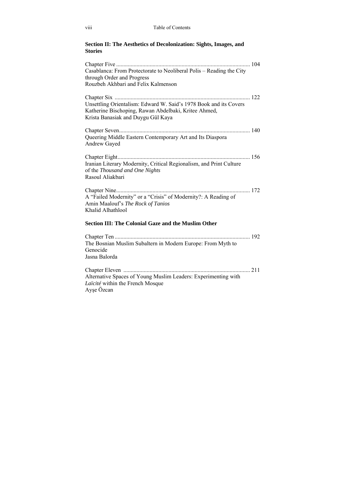### **Section II: The Aesthetics of Decolonization: Sights, Images, and Stories**

| Casablanca: From Protectorate to Neoliberal Polis – Reading the City<br>through Order and Progress<br>Rouzbeh Akhbari and Felix Kalmenson                       |  |
|-----------------------------------------------------------------------------------------------------------------------------------------------------------------|--|
| Unsettling Orientalism: Edward W. Said's 1978 Book and its Covers<br>Katherine Bischoping, Rawan Abdelbaki, Kritee Ahmed,<br>Krista Banasiak and Duygu Gül Kaya |  |
| Queering Middle Eastern Contemporary Art and Its Diaspora<br><b>Andrew Gayed</b>                                                                                |  |
| Iranian Literary Modernity, Critical Regionalism, and Print Culture<br>of the Thousand and One Nights<br>Rasoul Aliakbari                                       |  |
| A "Failed Modernity" or a "Crisis" of Modernity?: A Reading of<br>Amin Maalouf's The Rock of Tanios<br>Khalid Alhathlool                                        |  |
| <b>Section III: The Colonial Gaze and the Muslim Other</b>                                                                                                      |  |
| The Bosnian Muslim Subaltern in Modern Europe: From Myth to<br>Genocide<br>Jasna Balorda                                                                        |  |
| Alternative Spaces of Young Muslim Leaders: Experimenting with<br>Laïcité within the French Mosque<br>Ayşe Özcan                                                |  |
|                                                                                                                                                                 |  |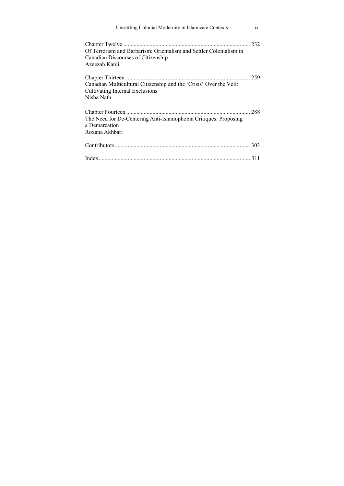| Unsettling Colonial Modernity in Islamicate Contexts                                                                      | 1X  |
|---------------------------------------------------------------------------------------------------------------------------|-----|
| Of Terrorism and Barbarism: Orientalism and Settler Colonialism in<br>Canadian Discourses of Citizenship<br>Azeezah Kanji |     |
| Canadian Multicultural Citizenship and the 'Crisis' Over the Veil:<br>Cultivating Internal Exclusions<br>Nisha Nath       | 259 |
| The Need for De-Centering Anti-Islamophobia Critiques: Proposing<br>a Demarcation<br>Roxana Akhbari                       |     |
|                                                                                                                           |     |
|                                                                                                                           |     |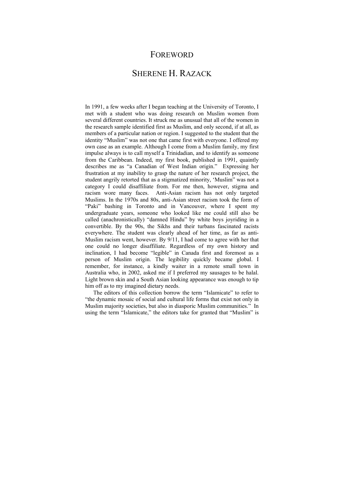### FOREWORD

# SHERENE H. RAZACK

In 1991, a few weeks after I began teaching at the University of Toronto, I met with a student who was doing research on Muslim women from several different countries. It struck me as unusual that all of the women in the research sample identified first as Muslim, and only second, if at all, as members of a particular nation or region. I suggested to the student that the identity "Muslim" was not one that came first with everyone. I offered my own case as an example. Although I come from a Muslim family, my first impulse always is to call myself a Trinidadian, and to identify as someone from the Caribbean. Indeed, my first book, published in 1991, quaintly describes me as "a Canadian of West Indian origin." Expressing her frustration at my inability to grasp the nature of her research project, the student angrily retorted that as a stigmatized minority, 'Muslim" was not a category I could disaffiliate from. For me then, however, stigma and racism wore many faces. Anti-Asian racism has not only targeted Muslims. In the 1970s and 80s, anti-Asian street racism took the form of "Paki" bashing in Toronto and in Vancouver, where I spent my undergraduate years, someone who looked like me could still also be called (anachronistically) "damned Hindu" by white boys joyriding in a convertible. By the 90s, the Sikhs and their turbans fascinated racists everywhere. The student was clearly ahead of her time, as far as anti-Muslim racism went, however. By 9/11, I had come to agree with her that one could no longer disaffiliate. Regardless of my own history and inclination, I had become "legible" in Canada first and foremost as a person of Muslim origin. The legibility quickly became global. I remember, for instance, a kindly waiter in a remote small town in Australia who, in 2002, asked me if I preferred my sausages to be halal. Light brown skin and a South Asian looking appearance was enough to tip him off as to my imagined dietary needs.

The editors of this collection borrow the term "Islamicate" to refer to "the dynamic mosaic of social and cultural life forms that exist not only in Muslim majority societies, but also in diasporic Muslim communities." In using the term "Islamicate," the editors take for granted that "Muslim" is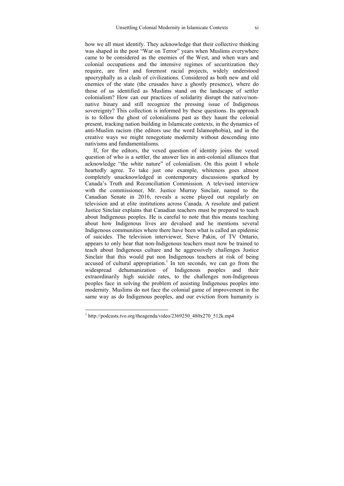how we all must identify. They acknowledge that their collective thinking was shaped in the post "War on Terror" years when Muslims everywhere came to be considered as the enemies of the West, and when wars and colonial occupations and the intensive regimes of securitization they require, are first and foremost racial projects, widely understood apocryphally as a clash of civilizations. Considered as both new and old enemies of the state (the crusades have a ghostly presence), where do those of us identified as Muslims stand on the landscape of settler colonialism? How can our practices of solidarity disrupt the native/nonnative binary and still recognize the pressing issue of Indigenous sovereignty? This collection is informed by these questions. Its approach is to follow the ghost of colonialisms past as they haunt the colonial present, tracking nation building in Islamicate contexts, in the dynamics of anti-Muslim racism (the editors use the word Islamophobia), and in the creative ways we might renegotiate modernity without descending into nativisms and fundamentalisms.

If, for the editors, the vexed question of identity joins the vexed question of who is a settler, the answer lies in anti-colonial alliances that acknowledge "the *white* nature" of colonialism. On this point I whole heartedly agree. To take just one example, whiteness goes almost completely unacknowledged in contemporary discussions sparked by Canada's Truth and Reconciliation Commission. A televised interview with the commissioner, Mr. Justice Murray Sinclair, named to the Canadian Senate in 2016, reveals a scene played out regularly on television and at elite institutions across Canada. A resolute and patient Justice Sinclair explains that Canadian teachers must be prepared to teach about Indigenous peoples. He is careful to note that this means teaching about how Indigenous lives are devalued and he mentions several Indigenous communities where there have been what is called an epidemic of suicides. The television interviewer, Steve Pakin, of TV Ontario, appears to only hear that non-Indigenous teachers must now be trained to teach about Indigenous culture and he aggressively challenges Justice Sinclair that this would put non Indigenous teachers at risk of being accused of cultural appropriation.<sup>1</sup> In ten seconds, we can go from the widespread dehumanization of Indigenous peoples and their extraordinarily high suicide rates, to the challenges non-Indigenous peoples face in solving the problem of assisting Indigenous peoples into modernity. Muslims do not face the colonial game of improvement in the same way as do Indigenous peoples, and our eviction from humanity is

<sup>&</sup>lt;sup>1</sup> http://podcasts.tvo.org/theagenda/video/2369250\_480x270\_512k.mp4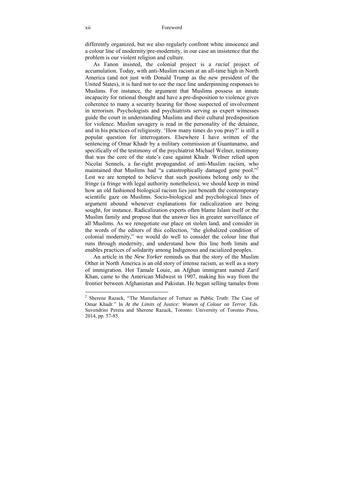differently organized, but we also regularly confront white innocence and a colour line of modernity/pre-modernity, in our case an insistence that the problem is our violent religion and culture.

As Fanon insisted, the colonial project is a *racial* project of accumulation. Today, with anti-Muslim racism at an all-time high in North America (and not just with Donald Trump as the new president of the United States), it is hard not to see the race line underpinning responses to Muslims. For instance, the argument that Muslims possess an innate incapacity for rational thought and have a pre-disposition to violence gives coherence to many a security hearing for those suspected of involvement in terrorism. Psychologists and psychiatrists serving as expert witnesses guide the court in understanding Muslims and their cultural predisposition for violence. Muslim savagery is read in the personality of the detainee, and in his practices of religiosity. 'How many times do you pray?' is still a popular question for interrogators. Elsewhere I have written of the sentencing of Omar Khadr by a military commission at Guantanamo, and specifically of the testimony of the psychiatrist Michael Welner, testimony that was the core of the state's case against Khadr. Welner relied upon Nicolai Sennels, a far-right propagandist of anti-Muslim racism, who maintained that Muslims had "a catastrophically damaged gene pool."<sup>2</sup> Lest we are tempted to believe that such positions belong only to the fringe (a fringe with legal authority nonetheless), we should keep in mind how an old fashioned biological racism lies just beneath the contemporary scientific gaze on Muslims. Socio-biological and psychological lines of argument abound whenever explanations for radicalization are being sought, for instance. Radicalization experts often blame Islam itself or the Muslim family and propose that the answer lies in greater surveillance of all Muslims. As we renegotiate our place on stolen land, and consider in the words of the editors of this collection, "the globalized condition of colonial modernity," we would do well to consider the colour line that runs through modernity, and understand how this line both limits and enables practices of solidarity among Indigenous and racialized peoples.

An article in the *New Yorker* reminds us that the story of the Muslim Other in North America is an old story of intense racism, as well as a story of immigration. Hot Tamale Louie, an Afghan immigrant named Zarif Khan, came to the American Midwest in 1907, making his way from the frontier between Afghanistan and Pakistan. He began selling tamales from

<sup>&</sup>lt;sup>2</sup> Sherene Razack, "The Manufacture of Torture as Public Truth: The Case of Omar Khadr." In *At the Limits of Justice: Women of Colour on Terror*. Eds. Suvendrini Perera and Sherene Razack, Toronto: University of Toronto Press, 2014, pp. 57-85.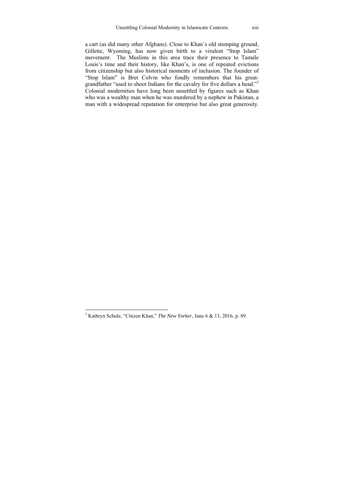a cart (as did many other Afghans). Close to Khan's old stomping ground, Gillette, Wyoming, has now given birth to a virulent "Stop Islam" movement. The Muslims in this area trace their presence to Tamale Louis's time and their history, like Khan's, is one of repeated evictions from citizenship but also historical moments of inclusion. The founder of "Stop Islam" is Bret Colvin who fondly remembers that his greatgrandfather "used to shoot Indians for the cavalry for five dollars a head."<sup>3</sup> Colonial modernities have long been unsettled by figures such as Khan who was a wealthy man when he was murdered by a nephew in Pakistan, a man with a widespread reputation for enterprise but also great generosity.

 3 Kathryn Schulz, "Citizen Khan," *The New Yorker*, June 6 & 13, 2016, p. 89.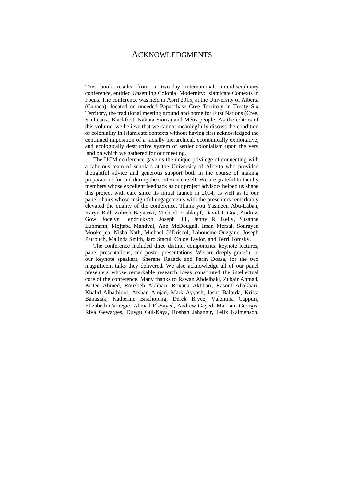### ACKNOWLEDGMENTS

This book results from a two-day international, interdisciplinary conference, entitled Unsettling Colonial Modernity: Islamicate Contexts in Focus. The conference was held in April 2015, at the University of Alberta (Canada), located on unceded Papaschase Cree Territory in Treaty Six Territory, the traditional meeting ground and home for First Nations (Cree, Saulteaux, Blackfoot, Nakota Sioux) and Métis people. As the editors of this volume, we believe that we cannot meaningfully discuss the condition of coloniality in Islamicate contexts without having first acknowledged the continued imposition of a racially hierarchical, economically exploitative, and ecologically destructive system of settler colonialism upon the very land on which we gathered for our meeting.

The UCM conference gave us the unique privilege of connecting with a fabulous team of scholars at the University of Alberta who provided thoughtful advice and generous support both in the course of making preparations for and during the conference itself. We are grateful to faculty members whose excellent feedback as our project advisors helped us shape this project with care since its initial launch in 2014, as well as to our panel chairs whose insightful engagements with the presenters remarkably elevated the quality of the conference. Thank you Yasmeen Abu-Laban, Karyn Ball, Zohreh Bayatrizi, Michael Frishkopf, David J. Goa, Andrew Gow, Jocelyn Hendrickson, Joseph Hill, Jenny R. Kelly, Susanne Luhmann, Mojtaba Mahdvai, Ann McDougall, Iman Mersal, Sourayan Mookerjea, Nisha Nath, Michael O'Driscol, Lahoucine Ouzgane, Joseph Patrouch, Malinda Smith, Jaro Stacul, Chloe Taylor, and Terri Tomsky.

The conference included three distinct components: keynote lectures, panel presentations, and poster presentations. We are deeply grateful to our keynote speakers, Sherene Razack and Parin Dossa, for the two magnificent talks they delivered. We also acknowledge all of our panel presenters whose remarkable research ideas constituted the intellectual core of the conference. Many thanks to Rawan Abdelbaki, Zubair Ahmad, Kritee Ahmed, Rouzbeh Akhbari, Roxana Akhbari, Rasoul Aliakbari, Khalid Alhathlool, Afshan Amjad, Mark Ayyash, Jasna Balorda, Krista Banasiak, Katherine Bischoping, Derek Bryce, Valentina Cappuri, Elizabeth Carnegie, Ahmad El-Sayed, Andrew Gayed, Marriam Georgis, Riva Gewarges, Duygu Gül-Kaya, Roshan Jahangir, Felix Kalmenson,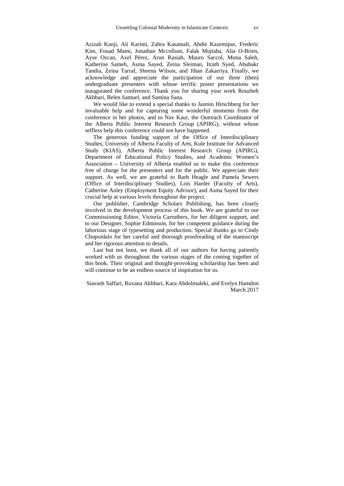Azizah Kanji, Ali Karimi, Zahra Kasamali, Abdie Kazemipur, Frederic Kim, Fouad Mami, Jonathan Mccollum, Falak Mujtaba, Alia O-Brien, Ayse Ozcan, Axel Pérez, Arun Rasiah, Mauro Saccol, Muna Saleh, Katherine Sameh, Asma Sayed, Zeina Sleiman, Itrath Syed, Abubakr Tandia, Zeina Tarraf, Sheena Wilson, and Jihan Zakarriya. Finally, we acknowledge and appreciate the participation of our three (then) undergraduate presenters with whose terrific poster presentations we inaugurated the conference. Thank you for sharing your work Rouzbeh Akhbari, Belen Samuel, and Samina Sana.

We would like to extend a special thanks to Jasmin Hirschberg for her invaluable help and for capturing some wonderful moments from the conference in her photos, and to Nav Kaur, the Outreach Coordinator of the Alberta Public Interest Research Group (APIRG), without whose selfless help this conference could not have happened.

The generous funding support of the Office of Interdisciplinary Studies, University of Alberta Faculty of Arts, Kule Institute for Advanced Study (KIAS), Alberta Public Interest Research Group (APIRG), Department of Educational Policy Studies, and Academic Women's Association – University of Alberta enabled us to make this conference free of charge for the presenters and for the public. We appreciate their support. As well, we are grateful to Barb Heagle and Pamela Sewers (Office of Interdisciplinary Studies), Lois Harder (Faculty of Arts), Catherine Anley (Employment Equity Advisor), and Asma Sayed for their crucial help at various levels throughout the project.

Our publisher, Cambridge Scholars Publishing, has been closely involved in the development process of this book. We are grateful to our Commissioning Editor, Victoria Carruthers, for her diligent support, and to our Designer, Sophie Edminson, for her competent guidance during the laborious stage of typesetting and production. Special thanks go to Cindy Chopoidalo for her careful and thorough proofreading of the manuscript and her rigorous attention to details.

Last but not least, we thank all of our authors for having patiently worked with us throughout the various stages of the coming together of this book. Their original and thought-provoking scholarship has been and will continue to be an endless source of inspiration for us.

Siavash Saffari, Roxana Akhbari, Kara Abdolmaleki, and Evelyn Hamdon March 2017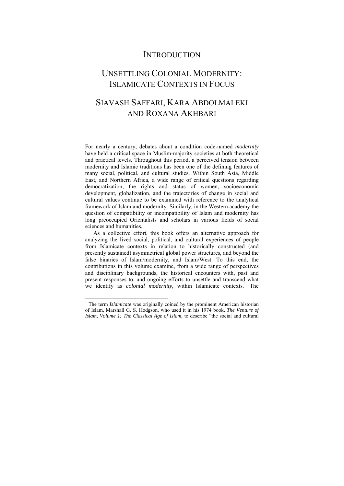## **INTRODUCTION**

# UNSETTLING COLONIAL MODERNITY: ISLAMICATE CONTEXTS IN FOCUS

# SIAVASH SAFFARI, KARA ABDOLMALEKI AND ROXANA AKHBARI

For nearly a century, debates about a condition code-named *modernity* have held a critical space in Muslim-majority societies at both theoretical and practical levels. Throughout this period, a perceived tension between modernity and Islamic traditions has been one of the defining features of many social, political, and cultural studies. Within South Asia, Middle East, and Northern Africa, a wide range of critical questions regarding democratization, the rights and status of women, socioeconomic development, globalization, and the trajectories of change in social and cultural values continue to be examined with reference to the analytical framework of Islam and modernity. Similarly, in the Western academy the question of compatibility or incompatibility of Islam and modernity has long preoccupied Orientalists and scholars in various fields of social sciences and humanities.

As a collective effort, this book offers an alternative approach for analyzing the lived social, political, and cultural experiences of people from Islamicate contexts in relation to historically constructed (and presently sustained) asymmetrical global power structures, and beyond the false binaries of Islam/modernity, and Islam/West. To this end, the contributions in this volume examine, from a wide range of perspectives and disciplinary backgrounds, the historical encounters with, past and present responses to, and ongoing efforts to unsettle and transcend what we identify as *colonial modernity*, within Islamicate contexts.<sup>1</sup> The

<sup>&</sup>lt;sup>1</sup> The term *Islamicate* was originally coined by the prominent American historian of Islam, Marshall G. S. Hodgson, who used it in his 1974 book, *The Venture of Islam, Volume 1: The Classical Age of Islam*, to describe "the social and cultural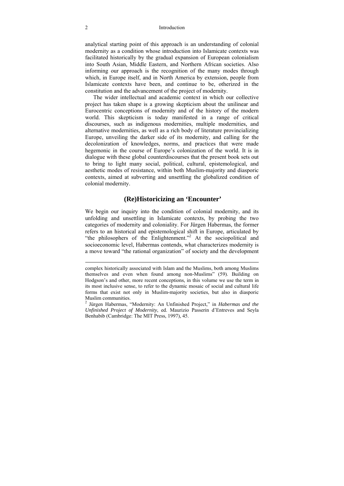#### 2 Introduction

analytical starting point of this approach is an understanding of colonial modernity as a condition whose introduction into Islamicate contexts was facilitated historically by the gradual expansion of European colonialism into South Asian, Middle Eastern, and Northern African societies. Also informing our approach is the recognition of the many modes through which, in Europe itself, and in North America by extension, people from Islamicate contexts have been, and continue to be, otherized in the constitution and the advancement of the project of modernity.

The wider intellectual and academic context in which our collective project has taken shape is a growing skepticism about the unilinear and Eurocentric conceptions of modernity and of the history of the modern world. This skepticism is today manifested in a range of critical discourses, such as indigenous modernities, multiple modernities, and alternative modernities, as well as a rich body of literature provincializing Europe, unveiling the darker side of its modernity, and calling for the decolonization of knowledges, norms, and practices that were made hegemonic in the course of Europe's colonization of the world. It is in dialogue with these global counterdiscourses that the present book sets out to bring to light many social, political, cultural, epistemological, and aesthetic modes of resistance, within both Muslim-majority and diasporic contexts, aimed at subverting and unsettling the globalized condition of colonial modernity.

### **(Re)Historicizing an 'Encounter'**

We begin our inquiry into the condition of colonial modernity, and its unfolding and unsettling in Islamicate contexts, by probing the two categories of modernity and coloniality. For Jürgen Habermas, the former refers to an historical and epistemological shift in Europe, articulated by "the philosophers of the Enlightenment."<sup>2</sup> At the sociopolitical and socioeconomic level, Habermas contends, what characterizes modernity is a move toward "the rational organization" of society and the development

complex historically associated with Islam and the Muslims, both among Muslims themselves and even when found among non-Muslims" (59). Building on Hodgson's and other, more recent conceptions, in this volume we use the term in its most inclusive sense, to refer to the dynamic mosaic of social and cultural life forms that exist not only in Muslim-majority societies, but also in diasporic Muslim communities.

<sup>2</sup> Jürgen Habermas, "Modernity: An Unfinished Project," in *Habermas and the Unfinished Project of Modernity*, ed. Maurizio Passerin d'Entreves and Seyla Benhabib (Cambridge: The MIT Press, 1997), 45.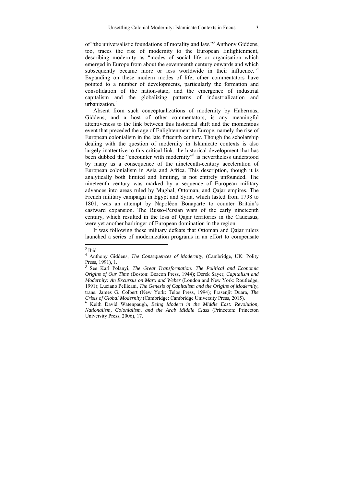of "the universalistic foundations of morality and law."<sup>3</sup> Anthony Giddens, too, traces the rise of modernity to the European Enlightenment, describing modernity as "modes of social life or organisation which emerged in Europe from about the seventeenth century onwards and which subsequently became more or less worldwide in their influence."<sup>4</sup> Expanding on these modern modes of life, other commentators have pointed to a number of developments, particularly the formation and consolidation of the nation-state, and the emergence of industrial capitalism and the globalizing patterns of industrialization and urbanization $\frac{5}{5}$ 

Absent from such conceptualizations of modernity by Habermas, Giddens, and a host of other commentators, is any meaningful attentiveness to the link between this historical shift and the momentous event that preceded the age of Enlightenment in Europe, namely the rise of European colonialism in the late fifteenth century. Though the scholarship dealing with the question of modernity in Islamicate contexts is also largely inattentive to this critical link, the historical development that has been dubbed the "encounter with modernity"<sup>6</sup> is nevertheless understood by many as a consequence of the nineteenth-century acceleration of European colonialism in Asia and Africa. This description, though it is analytically both limited and limiting, is not entirely unfounded. The nineteenth century was marked by a sequence of European military advances into areas ruled by Mughal, Ottoman, and Qajar empires. The French military campaign in Egypt and Syria, which lasted from 1798 to 1801, was an attempt by Napoléon Bonaparte to counter Britain's eastward expansion. The Russo-Persian wars of the early nineteenth century, which resulted in the loss of Qajar territories in the Caucasus, were yet another harbinger of European domination in the region.

It was following these military defeats that Ottoman and Qajar rulers launched a series of modernization programs in an effort to compensate

 $3$  Ibid.

<sup>4</sup> Anthony Giddens, *The Consequences of Modernity*, (Cambridge, UK: Polity Press, 1991), 1.

<sup>5</sup> See Karl Polanyi, *The Great Transformation: The Political and Economic Origins of Our Time* (Boston: Beacon Press, 1944); Derek Sayer, *Capitalism and Modernity: An Excursus on Marx and Weber* (London and New York: Routledge, 1991); Luciano Pellicani, *The Genesis of Capitalism and the Origins of Modernity*, trans. James G. Colbert (New York: Telos Press, 1994); Prasenjit Duara, *The Crisis of Global Modernity* (Cambridge: Cambridge University Press, 2015). 6

Keith David Watenpaugh, *Being Modern in the Middle East: Revolution, Nationalism, Colonialism, and the Arab Middle Class* (Princeton: Princeton University Press, 2006), 17.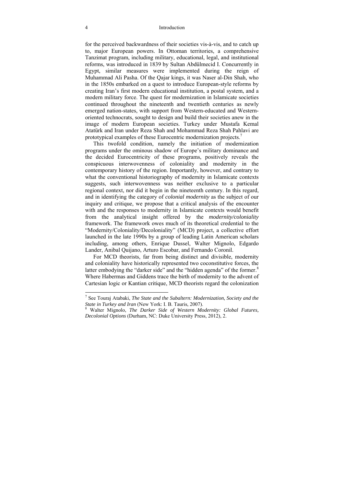for the perceived backwardness of their societies vis-à-vis, and to catch up to, major European powers. In Ottoman territories, a comprehensive Tanzimat program, including military, educational, legal, and institutional reforms, was introduced in 1839 by Sultan Abdülmecid I. Concurrently in Egypt, similar measures were implemented during the reign of Muhammad Ali Pasha. Of the Qajar kings, it was Naser al-Din Shah, who in the 1850s embarked on a quest to introduce European-style reforms by creating Iran's first modern educational institution, a postal system, and a modern military force. The quest for modernization in Islamicate societies continued throughout the nineteenth and twentieth centuries as newly emerged nation-states, with support from Western-educated and Westernoriented technocrats, sought to design and build their societies anew in the image of modern European societies. Turkey under Mustafa Kemal Atatürk and Iran under Reza Shah and Mohammad Reza Shah Pahlavi are prototypical examples of these Eurocentric modernization projects.7

This twofold condition, namely the initiation of modernization programs under the ominous shadow of Europe's military dominance and the decided Eurocentricity of these programs, positively reveals the conspicuous interwovenness of coloniality and modernity in the contemporary history of the region. Importantly, however, and contrary to what the conventional historiography of modernity in Islamicate contexts suggests, such interwovenness was neither exclusive to a particular regional context, nor did it begin in the nineteenth century. In this regard, and in identifying the category of *colonial modernity* as the subject of our inquiry and critique, we propose that a critical analysis of the encounter with and the responses to modernity in Islamicate contexts would benefit from the analytical insight offered by the *modernity/coloniality* framework. The framework owes much of its theoretical credential to the "Modernity/Coloniality/Decoloniality" (MCD) project, a collective effort launched in the late 1990s by a group of leading Latin American scholars including, among others, Enrique Dussel, Walter Mignolo, Edgardo Lander, Anibal Quijano, Arturo Escobar, and Fernando Coronil.

For MCD theorists, far from being distinct and divisible, modernity and coloniality have historically represented two coconstitutive forces, the latter embodying the "darker side" and the "hidden agenda" of the former.<sup>8</sup> Where Habermas and Giddens trace the birth of modernity to the advent of Cartesian logic or Kantian critique, MCD theorists regard the colonization

 7 See Touraj Atabaki, *The State and the Subaltern: Modernization, Society and the State in Turkey and Iran* (New York: I. B. Tauris, 2007).

Walter Mignolo, *The Darker Side of Western Modernity: Global Futures, Decolonial Options* (Durham, NC: Duke University Press, 2012), 2.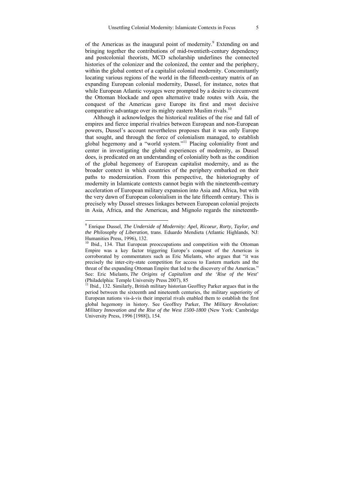of the Americas as the inaugural point of modernity.<sup>9</sup> Extending on and bringing together the contributions of mid-twentieth-century dependency and postcolonial theorists, MCD scholarship underlines the connected histories of the colonizer and the colonized, the center and the periphery, within the global context of a capitalist colonial modernity. Concomitantly locating various regions of the world in the fifteenth-century matrix of an expanding European colonial modernity, Dussel, for instance, notes that while European Atlantic voyages were prompted by a desire to circumvent the Ottoman blockade and open alternative trade routes with Asia, the conquest of the Americas gave Europe its first and most decisive comparative advantage over its mighty eastern Muslim rivals.<sup>10</sup>

Although it acknowledges the historical realities of the rise and fall of empires and fierce imperial rivalries between European and non-European powers, Dussel's account nevertheless proposes that it was only Europe that sought, and through the force of colonialism managed, to establish global hegemony and a "world system."11 Placing coloniality front and center in investigating the global experiences of modernity, as Dussel does, is predicated on an understanding of coloniality both as the condition of the global hegemony of European capitalist modernity, and as the broader context in which countries of the periphery embarked on their paths to modernization. From this perspective, the historiography of modernity in Islamicate contexts cannot begin with the nineteenth-century acceleration of European military expansion into Asia and Africa, but with the very dawn of European colonialism in the late fifteenth century. This is precisely why Dussel stresses linkages between European colonial projects in Asia, Africa, and the Americas, and Mignolo regards the nineteenth-

 9 Enrique Dussel, *The Underside of Modernity: Apel, Ricoeur, Rorty, Taylor, and the Philosophy of Liberation*, trans. Eduardo Mendieta (Atlantic Highlands, NJ: Humanities Press, 1996), 132.

<sup>&</sup>lt;sup>10</sup> Ibid., 134. That European preoccupations and competition with the Ottoman Empire was a key factor triggering Europe's conquest of the Americas is corroborated by commentators such as Eric Mielants, who argues that "it was precisely the inter-city-state competition for access to Eastern markets and the threat of the expanding Ottoman Empire that led to the discovery of the Americas." See: Eric Mielants, *The Origins of Capitalism and the 'Rise of the West*' (Philadelphia: Temple University Press 2007), 85

<sup>11</sup> Ibid., 132. Similarly, British military historian Geoffrey Parker argues that in the period between the sixteenth and nineteenth centuries, the military superiority of European nations vis-à-vis their imperial rivals enabled them to establish the first global hegemony in history. See Geoffrey Parker, *The Military Revolution: Military Innovation and the Rise of the West 1500-1800* (New York: Cambridge University Press, 1996 [1988]), 154.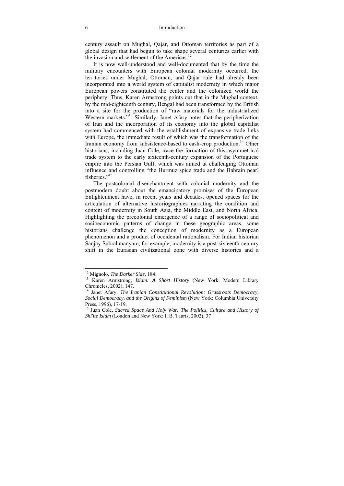century assault on Mughal, Qajar, and Ottoman territories as part of a global design that had begun to take shape several centuries earlier with the invasion and settlement of the Americas.<sup>12</sup>

It is now well-understood and well-documented that by the time the military encounters with European colonial modernity occurred, the territories under Mughal, Ottoman, and Qajar rule had already been incorporated into a world system of capitalist modernity in which major European powers constituted the center and the colonized world the periphery. Thus, Karen Armstrong points out that in the Mughal context, by the mid-eighteenth century, Bengal had been transformed by the British into a site for the production of "raw materials for the industrialized Western markets."<sup>13</sup> Similarly, Janet Afary notes that the peripherization of Iran and the incorporation of its economy into the global capitalist system had commenced with the establishment of expansive trade links with Europe, the immediate result of which was the transformation of the Iranian economy from subsistence-based to cash-crop production.<sup>14</sup> Other historians, including Juan Cole, trace the formation of this asymmetrical trade system to the early sixteenth-century expansion of the Portuguese empire into the Persian Gulf, which was aimed at challenging Ottoman influence and controlling "the Hurmuz spice trade and the Bahrain pearl fisheries<sup>"15</sup>

The postcolonial disenchantment with colonial modernity and the postmodern doubt about the emancipatory promises of the European Enlightenment have, in recent years and decades, opened spaces for the articulation of alternative historiographies narrating the condition and content of modernity in South Asia, the Middle East, and North Africa. Highlighting the precolonial emergence of a range of sociopolitical and socioeconomic patterns of change in these geographic areas, some historians challenge the conception of modernity as a European phenomenon and a product of occidental rationalism. For Indian historian Sanjay Subrahmanyam, for example, modernity is a post-sixteenth-century shift in the Eurasian civilizational zone with diverse histories and a

 $\overline{a}$ 

<sup>&</sup>lt;sup>12</sup> Mignolo, *The Darker Side*, 184.<br><sup>13</sup> Karen Armstrong, *Islam: A Short History* (New York: Modern Library Chronicles, 2002), 147.

<sup>14</sup> Janet Afary, *The Iranian Constitutional Revolution: Grassroots Democracy, Social Democracy, and the Origins of Feminism* (New York: Columbia University Press, 1996), 17-19.

<sup>15</sup> Juan Cole, *Sacred Space And Holy War: The Politics, Culture and History of Shi'ite Islam* (London and New York: I. B. Tauris, 2002), 37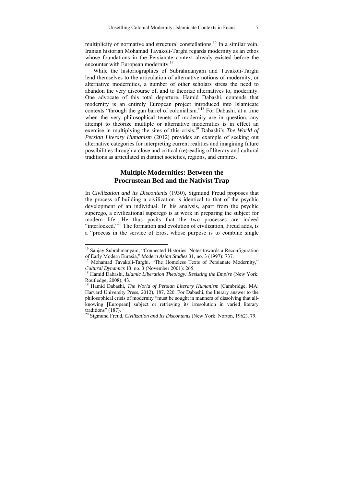multiplicity of normative and structural constellations.<sup>16</sup> In a similar vein, Iranian historian Mohamad Tavakoli-Targhi regards modernity as an ethos whose foundations in the Persianate context already existed before the encounter with European modernity.<sup>17</sup>

While the historiographies of Subrahmanyam and Tavakoli-Targhi lend themselves to the articulation of alternative notions of modernity, or alternative modernities, a number of other scholars stress the need to abandon the very discourse of, and to theorize alternatives to, modernity. One advocate of this total departure, Hamid Dabashi, contends that modernity is an entirely European project introduced into Islamicate contexts "through the gun barrel of colonialism."18 For Dabashi, at a time when the very philosophical tenets of modernity are in question, any attempt to theorize multiple or alternative modernities is in effect an exercise in multiplying the sites of this crisis.<sup>19</sup> Dabashi's *The World of Persian Literary Humanism* (2012) provides an example of seeking out alternative categories for interpreting current realities and imagining future possibilities through a close and critical (re)reading of literary and cultural traditions as articulated in distinct societies, regions, and empires.

### **Multiple Modernities: Between the Procrustean Bed and the Nativist Trap**

In *Civilization and its Discontents* (1930), Sigmund Freud proposes that the process of building a civilization is identical to that of the psychic development of an individual. In his analysis, apart from the psychic superego, a civilizational superego is at work in preparing the subject for modern life. He thus posits that the two processes are indeed "interlocked."<sup>20</sup> The formation and evolution of civilization, Freud adds, is a "process in the service of Eros, whose purpose is to combine single

<sup>&</sup>lt;sup>16</sup> Sanjay Subrahmanyam, "Connected Histories: Notes towards a Reconfiguration

of Early Modern Eurasia," *Modern Asian Studies* 31, no. 3 (1997): 737.<br><sup>17</sup> Mohamad Tavakoli-Targhi, "The Homeless Texts of Persianate Modernity,"<br>*Cultural Dynamics* 13, no. 3 (November 2001): 265.

<sup>&</sup>lt;sup>18</sup> Hamid Dabashi, *Islamic Liberation Theology: Resisting the Empire* (New York: Routledge, 2008), 43.

<sup>19</sup> Hamid Dabashi, *The World of Persian Literary Humanism* (Cambridge, MA: Harvard University Press, 2012), 187, 220. For Dabashi, the literary answer to the philosophical crisis of modernity "must be sought in manners of dissolving that allknowing [European] subject or retrieving its irresolution in varied literary traditions" (187).

<sup>20</sup> Sigmund Freud, *Civilization and Its Discontents* (New York: Norton, 1962), 79.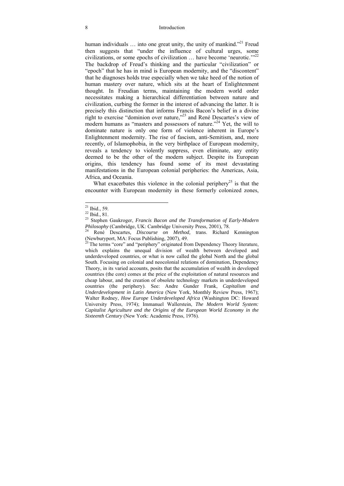human individuals  $\ldots$  into one great unity, the unity of mankind."<sup>21</sup> Freud then suggests that "under the influence of cultural urges, some civilizations, or some epochs of civilization  $\ldots$  have become 'neurotic.'"<sup>22</sup> The backdrop of Freud's thinking and the particular "civilization" or "epoch" that he has in mind is European modernity, and the "discontent" that he diagnoses holds true especially when we take heed of the notion of human mastery over nature, which sits at the heart of Enlightenment thought. In Freudian terms, maintaining the modern world order necessitates making a hierarchical differentiation between nature and civilization, curbing the former in the interest of advancing the latter. It is precisely this distinction that informs Francis Bacon's belief in a divine right to exercise "dominion over nature,"23 and René Descartes's view of modern humans as "masters and possessors of nature."<sup>24</sup> Yet, the will to dominate nature is only one form of violence inherent in Europe's Enlightenment modernity. The rise of fascism, anti-Semitism, and, more recently, of Islamophobia, in the very birthplace of European modernity, reveals a tendency to violently suppress, even eliminate, any entity deemed to be the other of the modern subject. Despite its European origins, this tendency has found some of its most devastating manifestations in the European colonial peripheries: the Americas, Asia, Africa, and Oceania.

What exacerbates this violence in the colonial periphery<sup>25</sup> is that the encounter with European modernity in these formerly colonized zones,

 $21$  Ibid., 59.

 $22$  Ibid., 81.

<sup>23</sup> Stephen Gaukroger, *Francis Bacon and the Transformation of Early-Modern Philosophy* (Cambridge, UK: Cambridge University Press, 2001), 78. 24 René Descartes*, Discourse on Method,* trans. Richard Kennington

<sup>(</sup>Newburyport, MA: Focus Publishing, 2007), 49.

 $25$  The terms "core" and "periphery" originated from Dependency Theory literature, which explains the unequal division of wealth between developed and underdeveloped countries, or what is now called the global North and the global South. Focusing on colonial and neocolonial relations of domination, Dependency Theory, in its varied accounts, posits that the accumulation of wealth in developed countries (the core) comes at the price of the exploitation of natural resources and cheap labour, and the creation of obsolete technology markets in underdeveloped countries (the periphery). See: Andre Gunder Frank, *Capitalism and Underdevelopment in Latin America* (New York, Monthly Review Press, 1967); Walter Rodney, *How Europe Underdeveloped Africa* (Washington DC: Howard University Press, 1974); Immanuel Wallerstein, *The Modern World System: Capitalist Agriculture and the Origins of the European World Economy in the Sixteenth Century* (New York: Academic Press, 1976).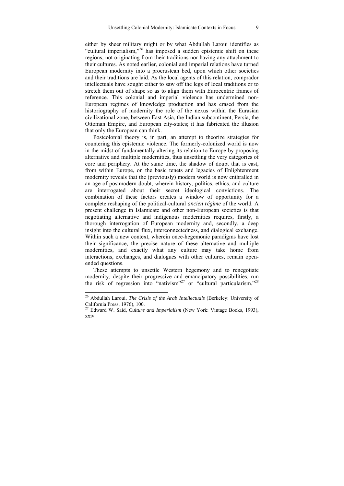either by sheer military might or by what Abdullah Laroui identifies as "cultural imperialism, $^{326}$  has imposed a sudden epistemic shift on these regions, not originating from their traditions nor having any attachment to their cultures. As noted earlier, colonial and imperial relations have turned European modernity into a procrustean bed, upon which other societies and their traditions are laid. As the local agents of this relation, comprador intellectuals have sought either to saw off the legs of local traditions or to stretch them out of shape so as to align them with Eurocentric frames of reference. This colonial and imperial violence has undermined non-European regimes of knowledge production and has erased from the historiography of modernity the role of the nexus within the Eurasian civilizational zone, between East Asia, the Indian subcontinent, Persia, the Ottoman Empire, and European city-states; it has fabricated the illusion that only the European can think.

Postcolonial theory is, in part, an attempt to theorize strategies for countering this epistemic violence. The formerly-colonized world is now in the midst of fundamentally altering its relation to Europe by proposing alternative and multiple modernities, thus unsettling the very categories of core and periphery. At the same time, the shadow of doubt that is cast, from within Europe, on the basic tenets and legacies of Enlightenment modernity reveals that the (previously) modern world is now enthralled in an age of postmodern doubt, wherein history, politics, ethics, and culture are interrogated about their secret ideological convictions. The combination of these factors creates a window of opportunity for a complete reshaping of the political-cultural *ancien régime* of the world*.* A present challenge in Islamicate and other non-European societies is that negotiating alternative and indigenous modernities requires, firstly, a thorough interrogation of European modernity and, secondly, a deep insight into the cultural flux, interconnectedness, and dialogical exchange. Within such a new context, wherein once-hegemonic paradigms have lost their significance, the precise nature of these alternative and multiple modernities, and exactly what any culture may take home from interactions, exchanges, and dialogues with other cultures, remain openended questions.

These attempts to unsettle Western hegemony and to renegotiate modernity, despite their progressive and emancipatory possibilities, run the risk of regression into "nativism"<sup>27</sup> or "cultural particularism."<sup>28</sup>

<sup>26</sup> Abdullah Laroui, *The Crisis of the Arab Intellectuals* (Berkeley: University of California Press, 1976), 100.

<sup>27</sup> Edward W. Said, *Culture and Imperialism* (New York: Vintage Books, 1993), xxiv.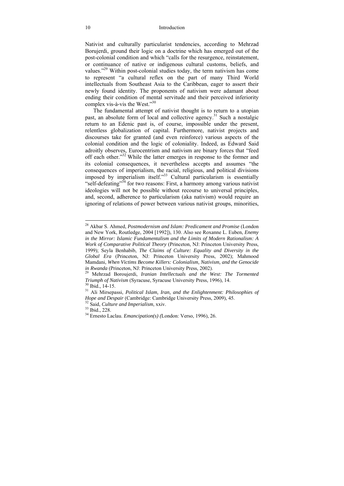#### 10 Introduction

Nativist and culturally particularist tendencies, according to Mehrzad Borujerdi, ground their logic on a doctrine which has emerged out of the post-colonial condition and which "calls for the resurgence, reinstatement, or continuance of native or indigenous cultural customs, beliefs, and values."29 Within post-colonial studies today, the term nativism has come to represent "a cultural reflex on the part of many Third World intellectuals from Southeast Asia to the Caribbean, eager to assert their newly found identity. The proponents of nativism were adamant about ending their condition of mental servitude and their perceived inferiority complex vis-à-vis the West." $30$ 

The fundamental attempt of nativist thought is to return to a utopian past, an absolute form of local and collective agency.<sup>31</sup> Such a nostalgic return to an Edenic past is, of course, impossible under the present, relentless globalization of capital. Furthermore, nativist projects and discourses take for granted (and even reinforce) various aspects of the colonial condition and the logic of coloniality. Indeed, as Edward Said adroitly observes, Eurocentrism and nativism are binary forces that "feed off each other."<sup>32</sup> While the latter emerges in response to the former and its colonial consequences, it nevertheless accepts and assumes "the consequences of imperialism, the racial, religious, and political divisions imposed by imperialism itself."33 Cultural particularism is essentially "self-defeating"<sup>34</sup> for two reasons: First, a harmony among various nativist ideologies will not be possible without recourse to universal principles, and, second, adherence to particularism (aka nativism) would require an ignoring of relations of power between various nativist groups, minorities,

 $\overline{a}$ 

<sup>28</sup> Akbar S. Ahmed, *Postmodernism and Islam: Predicament and Promise* (London and New York, Routledge, 2004 [1992]), 130. Also see Roxanne L. Euben, *Enemy in the Mirror: Islamic Fundamentalism and the Limits of Modern Rationalism: A Work of Comparative Political Theory* (Princeton, NJ: Princeton University Press, 1999); Seyla Benhabib, *The Claims of Culture: Equality and Diversity in the Global Era* (Princeton, NJ: Princeton University Press, 2002); Mahmood Mamdani, *When Victims Become Killers: Colonialism, Nativism, and the Genocide in Rwanda* (Princeton, NJ: Princeton University Press, 2002). 29 Mehrzad Boroujerdi, *Iranian Intellectuals and the West: The Tormented* 

*Triumph of Nativism* (Syracuse, Syracuse University Press, 1996), 14. 30 Ibid., 14-15.

<sup>31</sup> Ali Mirsepassi, *Political Islam, Iran, and the Enlightenment: Philosophies of Hope and Despair* (Cambridge: Cambridge University Press, 2009), 45.<br><sup>32</sup> Said, *Culture and Imperialism*, xxiv.<br><sup>33</sup> Ibid., 228.

<sup>34</sup> Ernesto Laclau. *Emancipation(s) (*London: Verso, 1996), 26.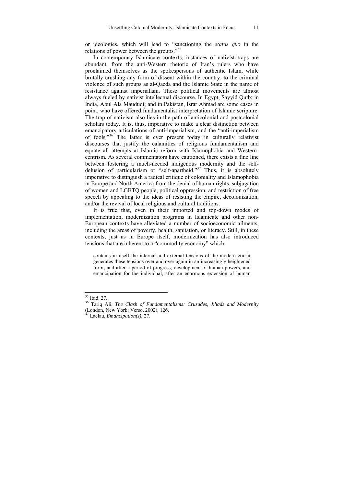or ideologies, which will lead to "sanctioning the *status quo* in the relations of power between the groups."35

In contemporary Islamicate contexts, instances of nativist traps are abundant, from the anti-Western rhetoric of Iran's rulers who have proclaimed themselves as the spokespersons of authentic Islam, while brutally crushing any form of dissent within the country, to the criminal violence of such groups as al-Qaeda and the Islamic State in the name of resistance against imperialism. These political movements are almost always fueled by nativist intellectual discourse. In Egypt, Sayyid Qutb; in India, Abul Ala Maududi; and in Pakistan, Israr Ahmad are some cases in point, who have offered fundamentalist interpretation of Islamic scripture. The trap of nativism also lies in the path of anticolonial and postcolonial scholars today. It is, thus, imperative to make a clear distinction between emancipatory articulations of anti-imperialism, and the "anti-imperialism of fools."<sup>36</sup> The latter is ever present today in culturally relativist discourses that justify the calamities of religious fundamentalism and equate all attempts at Islamic reform with Islamophobia and Westerncentrism. As several commentators have cautioned, there exists a fine line between fostering a much-needed indigenous modernity and the selfdelusion of particularism or "self-apartheid."<sup>37</sup> Thus, it is absolutely imperative to distinguish a radical critique of coloniality and Islamophobia in Europe and North America from the denial of human rights, subjugation of women and LGBTQ people, political oppression, and restriction of free speech by appealing to the ideas of resisting the empire, decolonization, and/or the revival of local religious and cultural traditions.

It is true that, even in their imported and top-down modes of implementation, modernization programs in Islamicate and other non-European contexts have alleviated a number of socioeconomic ailments, including the areas of poverty, health, sanitation, or literacy. Still, in these contexts, just as in Europe itself, modernization has also introduced tensions that are inherent to a "commodity economy" which

contains in itself the internal and external tensions of the modern era; it generates these tensions over and over again in an increasingly heightened form; and after a period of progress, development of human powers, and emancipation for the individual, after an enormous extension of human

<sup>35</sup> Ibid. 27.

<sup>36</sup> Tariq Ali, *The Clash of Fundamentalisms: Crusades, Jihads and Modernity* (London, New York: Verso, 2002), 126.

<sup>37</sup> Laclau, *Emancipation(s)*, 27.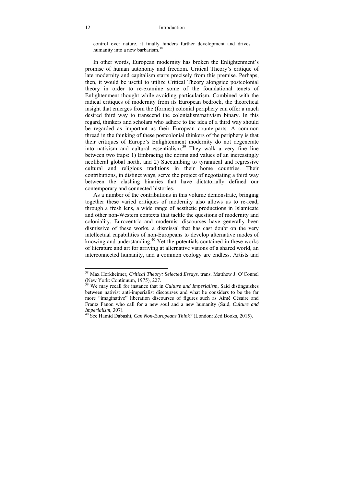#### 12 Introduction

control over nature, it finally hinders further development and drives humanity into a new barbarism.<sup>38</sup>

In other words, European modernity has broken the Enlightenment's promise of human autonomy and freedom. Critical Theory's critique of late modernity and capitalism starts precisely from this premise. Perhaps, then, it would be useful to utilize Critical Theory alongside postcolonial theory in order to re-examine some of the foundational tenets of Enlightenment thought while avoiding particularism. Combined with the radical critiques of modernity from its European bedrock, the theoretical insight that emerges from the (former) colonial periphery can offer a much desired third way to transcend the colonialism/nativism binary. In this regard, thinkers and scholars who adhere to the idea of a third way should be regarded as important as their European counterparts. A common thread in the thinking of these postcolonial thinkers of the periphery is that their critiques of Europe's Enlightenment modernity do not degenerate into nativism and cultural essentialism.39 They walk a very fine line between two traps: 1) Embracing the norms and values of an increasingly neoliberal global north, and 2) Succumbing to tyrannical and regressive cultural and religious traditions in their home countries. Their contributions, in distinct ways, serve the project of negotiating a third way between the clashing binaries that have dictatorially defined our contemporary and connected histories.

As a number of the contributions in this volume demonstrate, bringing together these varied critiques of modernity also allows us to re-read, through a fresh lens, a wide range of aesthetic productions in Islamicate and other non-Western contexts that tackle the questions of modernity and coloniality. Eurocentric and modernist discourses have generally been dismissive of these works, a dismissal that has cast doubt on the very intellectual capabilities of non-Europeans to develop alternative modes of knowing and understanding.<sup>40</sup> Yet the potentials contained in these works of literature and art for arriving at alternative visions of a shared world, an interconnected humanity, and a common ecology are endless. Artists and

 $\overline{a}$ 

<sup>38</sup> Max Horkheimer, *Critical Theory: Selected Essays,* trans*.* Matthew J. O'Connel (New York: Continuum, 1975), 227.<br><sup>39</sup> We may recell f

<sup>39</sup> We may recall for instance that in *Culture and Imperialism*, Said distinguishes between nativist anti-imperialist discourses and what he considers to be the far more "imaginative" liberation discourses of figures such as Aimé Césaire and Frantz Fanon who call for a new soul and a new humanity (Said, *Culture and Imperialism*, 307).

<sup>&</sup>lt;sup>40</sup> See Hamid Dabashi, *Can Non-Europeans Think?* (London: Zed Books, 2015).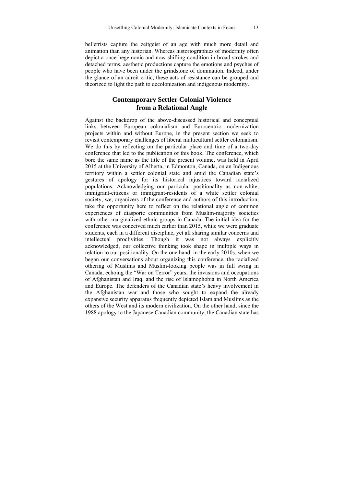belletrists capture the zeitgeist of an age with much more detail and animation than any historian. Whereas historiographies of modernity often depict a once-hegemonic and now-shifting condition in broad strokes and detached terms, aesthetic productions capture the emotions and psyches of people who have been under the grindstone of domination. Indeed, under the glance of an adroit critic, these acts of resistance can be grouped and theorized to light the path to decolonization and indigenous modernity.

### **Contemporary Settler Colonial Violence from a Relational Angle**

Against the backdrop of the above-discussed historical and conceptual links between European colonialism and Eurocentric modernization projects within and without Europe, in the present section we seek to revisit contemporary challenges of liberal multicultural settler colonialism. We do this by reflecting on the particular place and time of a two-day conference that led to the publication of this book. The conference, which bore the same name as the title of the present volume, was held in April 2015 at the University of Alberta, in Edmonton, Canada, on an Indigenous territory within a settler colonial state and amid the Canadian state's gestures of apology for its historical injustices toward racialized populations. Acknowledging our particular positionality as non-white, immigrant-citizens or immigrant-residents of a white settler colonial society, we, organizers of the conference and authors of this introduction, take the opportunity here to reflect on the relational angle of common experiences of diasporic communities from Muslim-majority societies with other marginalized ethnic groups in Canada. The initial idea for the conference was conceived much earlier than 2015, while we were graduate students, each in a different discipline, yet all sharing similar concerns and intellectual proclivities. Though it was not always explicitly acknowledged, our collective thinking took shape in multiple ways in relation to our positionality. On the one hand, in the early 2010s, when we began our conversations about organizing this conference, the racialized othering of Muslims and Muslim-looking people was in full swing in Canada, echoing the "War on Terror" years, the invasions and occupations of Afghanistan and Iraq, and the rise of Islamophobia in North America and Europe. The defenders of the Canadian state's heavy involvement in the Afghanistan war and those who sought to expand the already expansive security apparatus frequently depicted Islam and Muslims as the others of the West and its modern civilization. On the other hand, since the 1988 apology to the Japanese Canadian community, the Canadian state has